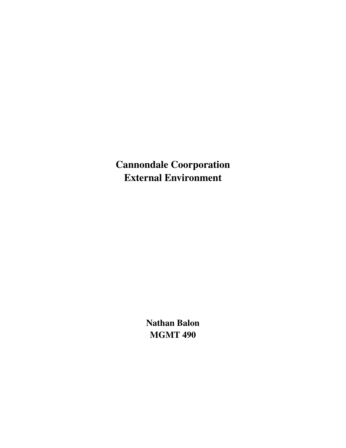Cannondale Coorporation External Environment

> Nathan Balon MGMT 490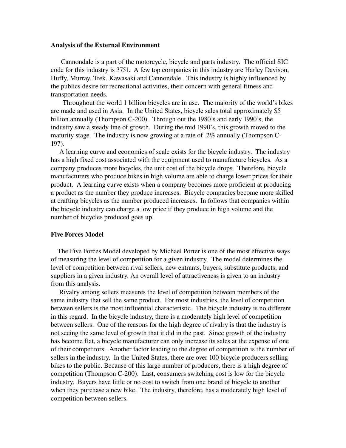## Analysis of the External Environment

 Cannondale is a part of the motorcycle, bicycle and parts industry. The official SIC code for this industry is 3751. A few top companies in this industry are Harley Davison, Huffy, Murray, Trek, Kawasaki and Cannondale. This industry is highly influenced by the publics desire for recreational activities, their concern with general fitness and transportation needs.

 Throughout the world 1 billion bicycles are in use. The majority of the world's bikes are made and used in Asia. In the United States, bicycle sales total approximately \$5 billion annually (Thompson C-200). Through out the 1980's and early 1990's, the industry saw a steady line of growth. During the mid 1990's, this growth moved to the maturity stage. The industry is now growing at a rate of 2% annually (Thompson C-197).

 A learning curve and economies of scale exists for the bicycle industry. The industry has a high fixed cost associated with the equipment used to manufacture bicycles. As a company produces more bicycles, the unit cost of the bicycle drops. Therefore, bicycle manufacturers who produce bikes in high volume are able to charge lower prices for their product. A learning curve exists when a company becomes more proficient at producing a product as the number they produce increases. Bicycle companies become more skilled at crafting bicycles as the number produced increases. In follows that companies within the bicycle industry can charge a low price if they produce in high volume and the number of bicycles produced goes up.

## Five Forces Model

 The Five Forces Model developed by Michael Porter is one of the most effective ways of measuring the level of competition for a given industry. The model determines the level of competition between rival sellers, new entrants, buyers, substitute products, and suppliers in a given industry. An overall level of attractiveness is given to an industry from this analysis.

 Rivalry among sellers measures the level of competition between members of the same industry that sell the same product. For most industries, the level of competition between sellers is the most influential characteristic. The bicycle industry is no different in this regard. In the bicycle industry, there is a moderately high level of competition between sellers. One of the reasons for the high degree of rivalry is that the industry is not seeing the same level of growth that it did in the past. Since growth of the industry has become flat, a bicycle manufacturer can only increase its sales at the expense of one of their competitors. Another factor leading to the degree of competition is the number of sellers in the industry. In the United States, there are over 100 bicycle producers selling bikes to the public. Because of this large number of producers, there is a high degree of competition (Thompson C-200). Last, consumers switching cost is low for the bicycle industry. Buyers have little or no cost to switch from one brand of bicycle to another when they purchase a new bike. The industry, therefore, has a moderately high level of competition between sellers.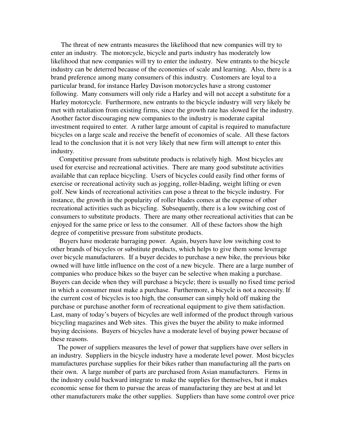The threat of new entrants measures the likelihood that new companies will try to enter an industry. The motorcycle, bicycle and parts industry has moderately low likelihood that new companies will try to enter the industry. New entrants to the bicycle industry can be deterred because of the economies of scale and learning. Also, there is a brand preference among many consumers of this industry. Customers are loyal to a particular brand, for instance Harley Davison motorcycles have a strong customer following. Many consumers will only ride a Harley and will not accept a substitute for a Harley motorcycle. Furthermore, new entrants to the bicycle industry will very likely be met with retaliation from existing firms, since the growth rate has slowed for the industry. Another factor discouraging new companies to the industry is moderate capital investment required to enter. A rather large amount of capital is required to manufacture bicycles on a large scale and receive the benefit of economies of scale. All these factors lead to the conclusion that it is not very likely that new firm will attempt to enter this industry.

 Competitive pressure from substitute products is relatively high. Most bicycles are used for exercise and recreational activities. There are many good substitute activities available that can replace bicycling. Users of bicycles could easily find other forms of exercise or recreational activity such as jogging, roller-blading, weight lifting or even golf. New kinds of recreational activities can pose a threat to the bicycle industry. For instance, the growth in the popularity of roller blades comes at the expense of other recreational activities such as bicycling. Subsequently, there is a low switching cost of consumers to substitute products. There are many other recreational activities that can be enjoyed for the same price or less to the consumer. All of these factors show the high degree of competitive pressure from substitute products.

 Buyers have moderate barraging power. Again, buyers have low switching cost to other brands of bicycles or substitute products, which helps to give them some leverage over bicycle manufacturers. If a buyer decides to purchase a new bike, the previous bike owned will have little influence on the cost of a new bicycle. There are a large number of companies who produce bikes so the buyer can be selective when making a purchase. Buyers can decide when they will purchase a bicycle; there is usually no fixed time period in which a consumer must make a purchase. Furthermore, a bicycle is not a necessity. If the current cost of bicycles is too high, the consumer can simply hold off making the purchase or purchase another form of recreational equipment to give them satisfaction. Last, many of today's buyers of bicycles are well informed of the product through various bicycling magazines and Web sites. This gives the buyer the ability to make informed buying decisions. Buyers of bicycles have a moderate level of buying power because of these reasons.

 The power of suppliers measures the level of power that suppliers have over sellers in an industry. Suppliers in the bicycle industry have a moderate level power. Most bicycles manufactures purchase supplies for their bikes rather than manufacturing all the parts on their own. A large number of parts are purchased from Asian manufacturers. Firms in the industry could backward integrate to make the supplies for themselves, but it makes economic sense for them to pursue the areas of manufacturing they are best at and let other manufacturers make the other supplies. Suppliers than have some control over price